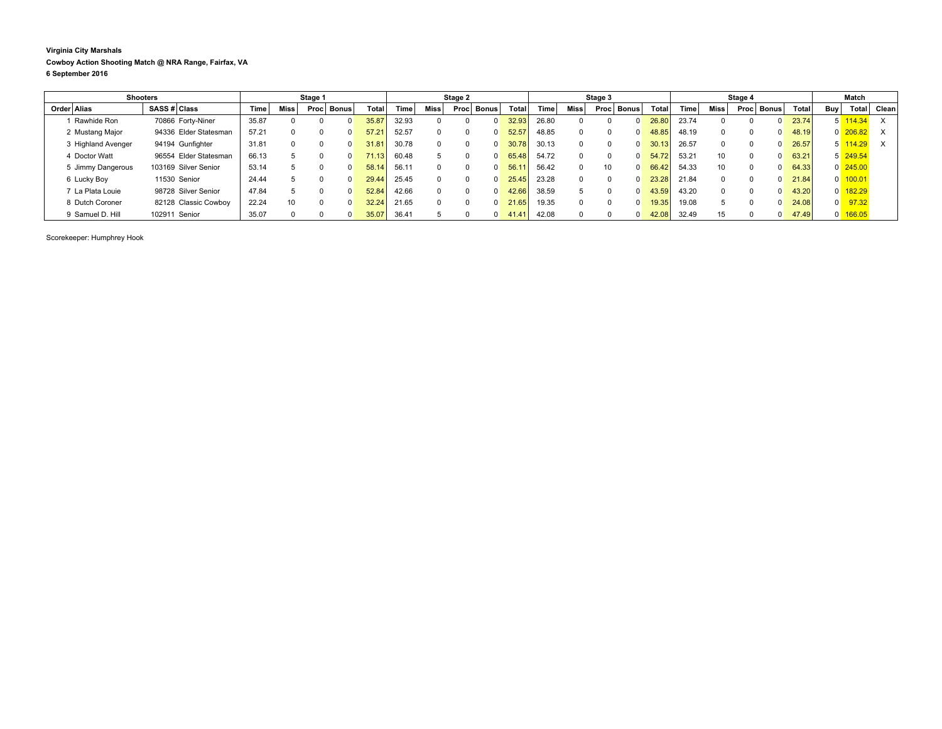**Virginia City Marshals Cowboy Action Shooting Match @ NRA Range, Fairfax, VA 6 September 2016**

|                    | <b>Shooters</b>       |       |             | Stage 1           |                      |       |       |      | Stage 2              |                       |        |              | Stage 3               |       |       |      | Stage 4  |              |              |     | Match                 |       |
|--------------------|-----------------------|-------|-------------|-------------------|----------------------|-------|-------|------|----------------------|-----------------------|--------|--------------|-----------------------|-------|-------|------|----------|--------------|--------------|-----|-----------------------|-------|
| Order Alias        | SASS # Class          | Time  | <b>Miss</b> | Proc <sub>1</sub> | ⊪ Bonus <sup>+</sup> | Total | Time  | Miss | <b>Bonus</b><br>Proc | Total                 | Time l | <b>Miss</b>  | <b>Bonus</b><br>Proc. | Total | Time  | Miss | Proc     | ∣ Bonus I    | <b>Total</b> | Buv | Total <sub>1</sub>    | Clean |
| Rawhide Ron        | 70866 Forty-Niner     | 35.87 |             |                   |                      | 35.87 | 32.93 |      |                      | 32.93                 | 26.80  |              |                       | 26.80 | 23.74 |      |          |              | 23.74        |     | $5 \overline{114.34}$ | X     |
| 2 Mustang Major    | 94336 Elder Statesman | 57.21 |             |                   |                      | 57.21 | 52.57 |      |                      | 52.5                  | 48.85  |              |                       | 48.85 | 48.19 |      |          |              | 48.19        |     | $0 \overline{206.82}$ |       |
| 3 Highland Avenger | 94194 Gunfighter      | 31.81 |             | n                 |                      | 31.81 | 30.78 |      |                      |                       | 30.13  |              |                       | 30.13 | 26.57 |      |          |              | 26.57        |     | 5 114.29              | X     |
| 4 Doctor Watt      | 96554 Elder Statesman | 66.13 |             |                   |                      | 71.13 | 60.48 |      |                      | 65.48<br><sup>0</sup> | 54.72  |              |                       | 54.72 | 53.21 | 10   | $\Omega$ | 0            | 63.21        |     | $5\overline{249.54}$  |       |
| 5 Jimmy Dangerous  | 103169 Silver Senior  | 53.14 |             |                   |                      | 58.14 | 56.11 |      |                      | 56.1<br>0             | 56.42  | <sup>0</sup> | 10                    | 66.42 | 54.33 | 10   | $\Omega$ | $\Omega$     | 64.33        |     | $0\overline{245.00}$  |       |
| 6 Lucky Boy        | 11530 Senior          | 24.44 |             |                   |                      | 29.44 | 25.45 |      |                      | 25.45<br><sup>0</sup> | 23.28  |              |                       | 23.28 | 21.84 |      | $\Omega$ | $\Omega$     | 21.84        |     | $0 \overline{100.01}$ |       |
| 7 La Plata Louie   | 98728 Silver Senior   | 47.84 |             |                   |                      | 52.84 | 42.66 |      |                      | 42.66                 | 38.59  |              |                       | 43.59 | 43.20 |      |          |              | 43.20        |     | $0$ 182.29            |       |
| 8 Dutch Coroner    | 82128 Classic Cowboy  | 22.24 | 10          | <sup>0</sup>      |                      | 32.24 | 21.65 |      |                      | 21.65                 | 19.35  |              |                       | 19.35 | 19.08 |      |          | <sup>0</sup> | 24.08        | 0   | 97.32                 |       |
| 9 Samuel D. Hill   | 102911 Senior         | 35.07 |             |                   |                      |       | 36.4' |      |                      | 41.4                  | 42.08  |              |                       | 42.08 | 32.49 | 15   |          | <sup>0</sup> | 47.49        |     | $0$ 166.05            |       |

Scorekeeper: Humphrey Hook